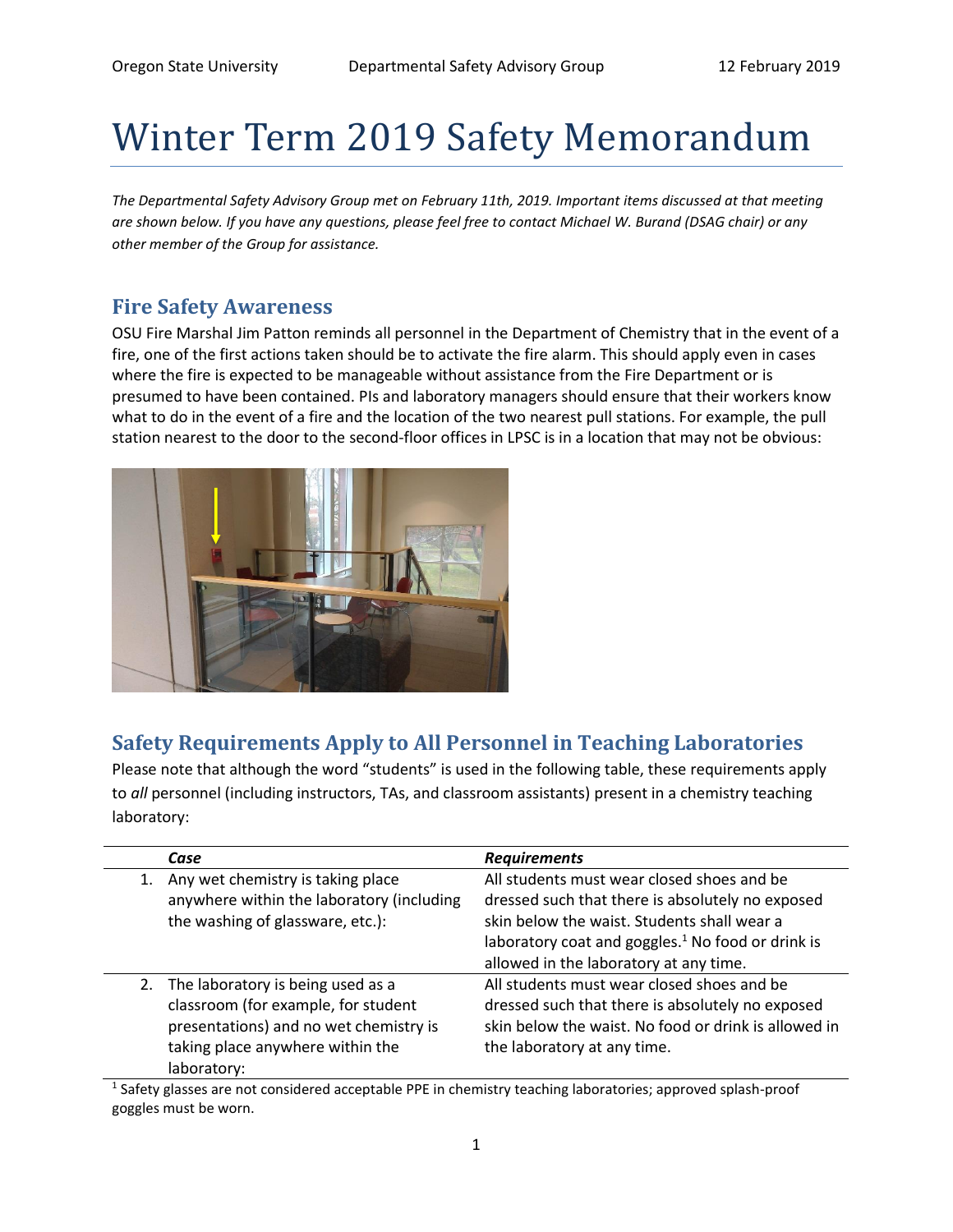# Winter Term 2019 Safety Memorandum

*The Departmental Safety Advisory Group met on February 11th, 2019. Important items discussed at that meeting are shown below. If you have any questions, please feel free to contact Michael W. Burand (DSAG chair) or any other member of the Group for assistance.*

## **Fire Safety Awareness**

OSU Fire Marshal Jim Patton reminds all personnel in the Department of Chemistry that in the event of a fire, one of the first actions taken should be to activate the fire alarm. This should apply even in cases where the fire is expected to be manageable without assistance from the Fire Department or is presumed to have been contained. PIs and laboratory managers should ensure that their workers know what to do in the event of a fire and the location of the two nearest pull stations. For example, the pull station nearest to the door to the second-floor offices in LPSC is in a location that may not be obvious:



# **Safety Requirements Apply to All Personnel in Teaching Laboratories**

Please note that although the word "students" is used in the following table, these requirements apply to *all* personnel (including instructors, TAs, and classroom assistants) present in a chemistry teaching laboratory:

| Case                                                                                                                                                                     | <b>Requirements</b>                                                                                                                                                                                                                                      |
|--------------------------------------------------------------------------------------------------------------------------------------------------------------------------|----------------------------------------------------------------------------------------------------------------------------------------------------------------------------------------------------------------------------------------------------------|
| Any wet chemistry is taking place<br>anywhere within the laboratory (including<br>the washing of glassware, etc.):                                                       | All students must wear closed shoes and be<br>dressed such that there is absolutely no exposed<br>skin below the waist. Students shall wear a<br>laboratory coat and goggles. <sup>1</sup> No food or drink is<br>allowed in the laboratory at any time. |
| 2. The laboratory is being used as a<br>classroom (for example, for student<br>presentations) and no wet chemistry is<br>taking place anywhere within the<br>laboratory: | All students must wear closed shoes and be<br>dressed such that there is absolutely no exposed<br>skin below the waist. No food or drink is allowed in<br>the laboratory at any time.                                                                    |

<sup>1</sup> Safety glasses are not considered acceptable PPE in chemistry teaching laboratories; approved splash-proof goggles must be worn.